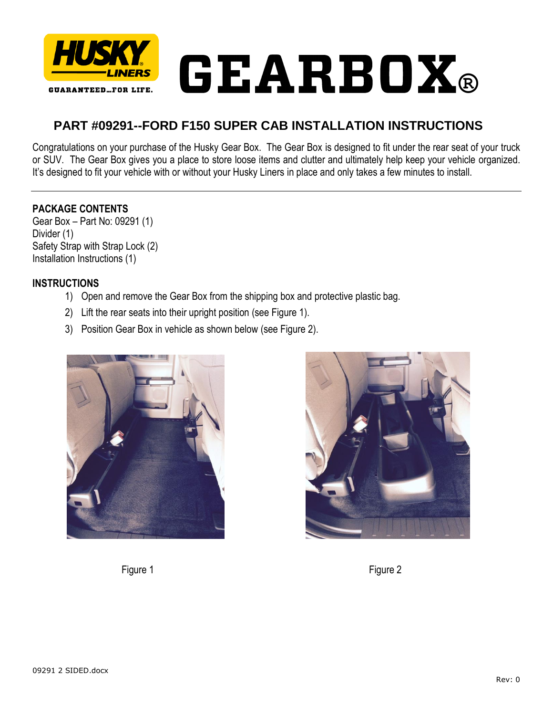

## **PART #09291--FORD F150 SUPER CAB INSTALLATION INSTRUCTIONS**

Congratulations on your purchase of the Husky Gear Box. The Gear Box is designed to fit under the rear seat of your truck or SUV. The Gear Box gives you a place to store loose items and clutter and ultimately help keep your vehicle organized. It's designed to fit your vehicle with or without your Husky Liners in place and only takes a few minutes to install.

## **PACKAGE CONTENTS**

Gear Box – Part No: 09291 (1) Divider (1) Safety Strap with Strap Lock (2) Installation Instructions (1)

## **INSTRUCTIONS**

- 1) Open and remove the Gear Box from the shipping box and protective plastic bag.
- 2) Lift the rear seats into their upright position (see Figure 1).
- 3) Position Gear Box in vehicle as shown below (see Figure 2).